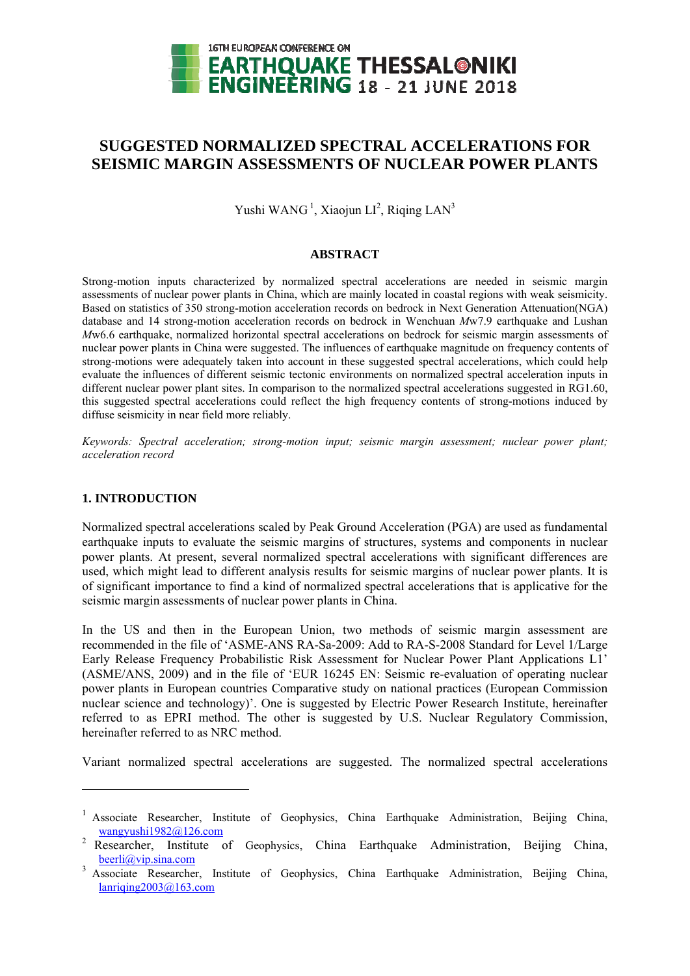

# **SUGGESTED NORMALIZED SPECTRAL ACCELERATIONS FOR SEISMIC MARGIN ASSESSMENTS OF NUCLEAR POWER PLANTS**

Yushi WANG<sup>1</sup>, Xiaojun LI<sup>2</sup>, Riqing LAN<sup>3</sup>

# **A ABSTRACT T**

Strong-motion inputs characterized by normalized spectral accelerations are needed in seismic margin assessments of nuclear power plants in China, which are mainly located in coastal regions with weak seismicity. Based on statistics of 350 strong-motion acceleration records on bedrock in Next Generation Attenuation(NGA) database and 14 strong-motion acceleration records on bedrock in Wenchuan Mw7.9 earthquake and Lushan *Mw6.6* earthquake, normalized horizontal spectral accelerations on bedrock for seismic margin assessments of nuclear power plants in China were suggested. The influences of earthquake magnitude on frequency contents of strong-motions were adequately taken into account in these suggested spectral accelerations, which could help evaluate the influences of different seismic tectonic environments on normalized spectral acceleration inputs in different nuclear power plant sites. In comparison to the normalized spectral accelerations suggested in RG1.60, this suggested spectral accelerations could reflect the high frequency contents of strong-motions induced by diffuse seismicity in near field more reliably.

Keywords: Spectral acceleration; strong-motion input; seismic margin assessment; nuclear power plant; *accelerat tion record* 

# **1. INTRODUCTION**

l

l

Normalized spectral accelerations scaled by Peak Ground Acceleration (PGA) are used as fundamental earthquake inputs to evaluate the seismic margins of structures, systems and components in nuclear power plants. At present, several normalized spectral accelerations with significant differences are used, which might lead to different analysis results for seismic margins of nuclear power plants. It is of significant importance to find a kind of normalized spectral accelerations that is applicative for the seismic margin assessments of nuclear power plants in China.

In the US and then in the European Union, two methods of seismic margin assessment are recommended in the file of 'ASME-ANS RA-Sa-2009: Add to RA-S-2008 Standard for Level 1/Large Early Release Frequency Probabilistic Risk Assessment for Nuclear Power Plant Applications L1' (ASME/ANS, 2009) and in the file of 'EUR 16245 EN: Seismic re-evaluation of operating nuclear power plants in European countries Comparative study on national practices (European Commission nuclear science and technology)'. One is suggested by Electric Power Research Institute, hereinafter referred to as EPRI method. The other is suggested by U.S. Nuclear Regulatory Commission, hereinafter referred to as NRC method.

Variant normalized spectral accelerations are suggested. The normalized spectral accelerations

<sup>&</sup>lt;sup>1</sup> Associate Researcher, Institute of Geophysics, China Earthquake Administration, Beijing China, wangyushi1982@126.com

<sup>&</sup>lt;sup>2</sup> Researcher, Institute of Geophysics, China Earthquake Administration, Beijing China, beerli@vip.sina.com 3 **beerli@vip.sina.com**<br><sup>3</sup> Associate Researcher, Institute of Geophysics, China Earthquake Administration, Beijing China,

lanriqing2003@163.com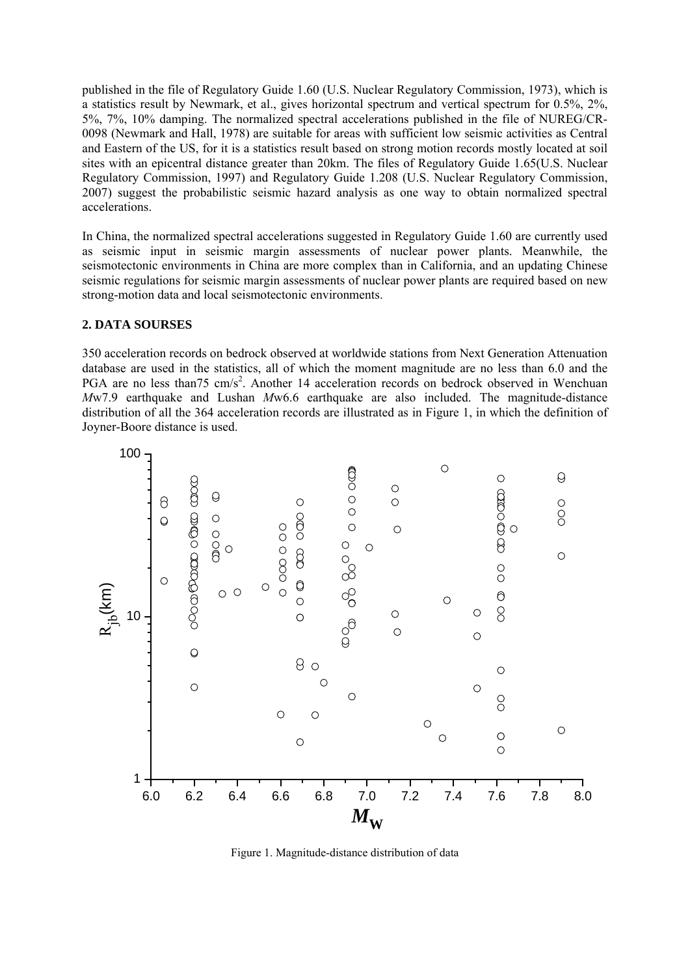published in the file of Regulatory Guide 1.60 (U.S. Nuclear Regulatory Commission, 1973), which is a statistics result by Newmark, et al., gives horizontal spectrum and vertical spectrum for 0.5%, 2%, 5%, 7%, 10% damping. The normalized spectral accelerations published in the file of NUREG/CR-0098 (Newmark and Hall, 1978) are suitable for areas with sufficient low seismic activities as Central and Eastern of the US, for it is a statistics result based on strong motion records mostly located at soil sites with an epicentral distance greater than 20km. The files of Regulatory Guide 1.65(U.S. Nuclear Regulatory Commission, 1997) and Regulatory Guide 1.208 (U.S. Nuclear Regulatory Commission, 2007) suggest the probabilistic seismic hazard analysis as one way to obtain normalized spectral accelerations.

In China, the normalized spectral accelerations suggested in Regulatory Guide 1.60 are currently used as seismic input in seismic margin assessments of nuclear power plants. Meanwhile, the seismotectonic environments in China are more complex than in California, and an updating Chinese seismic regulations for seismic margin assessments of nuclear power plants are required based on new strong-motion data and local seismotectonic environments.

# **2. DATA SOURSES**

350 acceleration records on bedrock observed at worldwide stations from Next Generation Attenuation database are used in the statistics, all of which the moment magnitude are no less than 6.0 and the PGA are no less than 75 cm/s<sup>2</sup>. Another 14 acceleration records on bedrock observed in Wenchuan *M*w7.9 earthquake and Lushan *M*w6.6 earthquake are also included. The magnitude-distance distribution of all the 364 acceleration records are illustrated as in Figure 1, in which the definition of Joyner-Boore distance is used.



Figure 1. Magnitude-distance distribution of data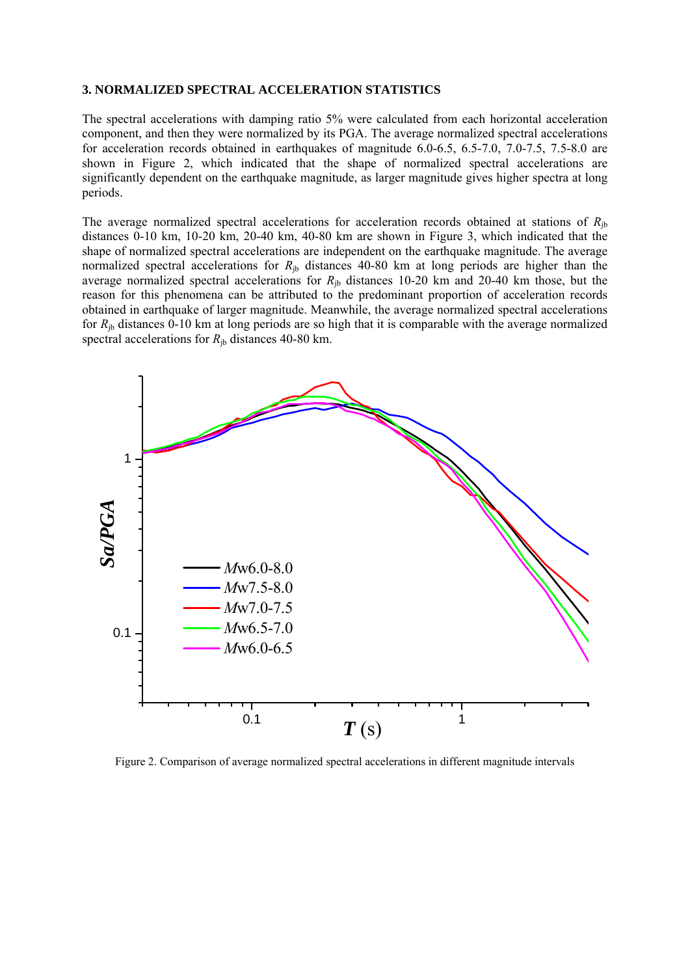#### **3. NORMALIZED SPECTRAL ACCELERATION STATISTICS**

The spectral accelerations with damping ratio 5% were calculated from each horizontal acceleration component, and then they were normalized by its PGA. The average normalized spectral accelerations for acceleration records obtained in earthquakes of magnitude 6.0-6.5, 6.5-7.0, 7.0-7.5, 7.5-8.0 are shown in Figure 2, which indicated that the shape of normalized spectral accelerations are significantly dependent on the earthquake magnitude, as larger magnitude gives higher spectra at long periods.

The average normalized spectral accelerations for acceleration records obtained at stations of  $R_{ib}$ distances 0-10 km, 10-20 km, 20-40 km, 40-80 km are shown in Figure 3, which indicated that the shape of normalized spectral accelerations are independent on the earthquake magnitude. The average normalized spectral accelerations for  $R_{ib}$  distances 40-80 km at long periods are higher than the average normalized spectral accelerations for  $R_{\text{ib}}$  distances 10-20 km and 20-40 km those, but the reason for this phenomena can be attributed to the predominant proportion of acceleration records obtained in earthquake of larger magnitude. Meanwhile, the average normalized spectral accelerations for  $R_{ib}$  distances 0-10 km at long periods are so high that it is comparable with the average normalized spectral accelerations for  $R_{\text{ib}}$  distances 40-80 km.



Figure 2. Comparison of average normalized spectral accelerations in different magnitude intervals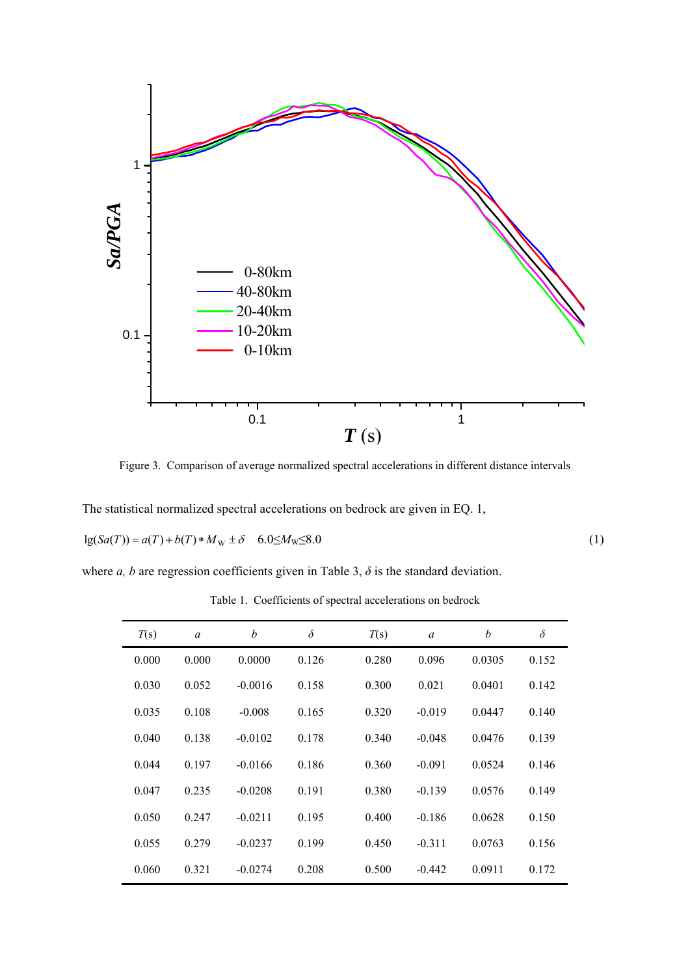

Figure 3. Comparison of average normalized spectral accelerations in different distance intervals

The statistical normalized spectral accelerations on bedrock are given in EQ. 1,

$$
lg(Sa(T)) = a(T) + b(T) * MW \pm \delta \quad 6.0 \le MW \le 8.0
$$
 (1)

where *a*, *b* are regression coefficients given in Table 3,  $\delta$  is the standard deviation.

| T(s)  | $\boldsymbol{a}$ | b         | $\delta$ | T(s)  | a        | b      | $\delta$ |
|-------|------------------|-----------|----------|-------|----------|--------|----------|
| 0.000 | 0.000            | 0.0000    | 0.126    | 0.280 | 0.096    | 0.0305 | 0.152    |
| 0.030 | 0.052            | $-0.0016$ | 0.158    | 0.300 | 0.021    | 0.0401 | 0.142    |
| 0.035 | 0.108            | $-0.008$  | 0.165    | 0.320 | $-0.019$ | 0.0447 | 0.140    |
| 0.040 | 0.138            | $-0.0102$ | 0.178    | 0.340 | $-0.048$ | 0.0476 | 0.139    |
| 0.044 | 0.197            | $-0.0166$ | 0.186    | 0.360 | $-0.091$ | 0.0524 | 0.146    |
| 0.047 | 0.235            | $-0.0208$ | 0.191    | 0.380 | $-0.139$ | 0.0576 | 0.149    |
| 0.050 | 0.247            | $-0.0211$ | 0.195    | 0.400 | $-0.186$ | 0.0628 | 0.150    |
| 0.055 | 0.279            | $-0.0237$ | 0.199    | 0.450 | $-0.311$ | 0.0763 | 0.156    |
| 0.060 | 0.321            | $-0.0274$ | 0.208    | 0.500 | $-0.442$ | 0.0911 | 0.172    |

Table 1. Coefficients of spectral accelerations on bedrock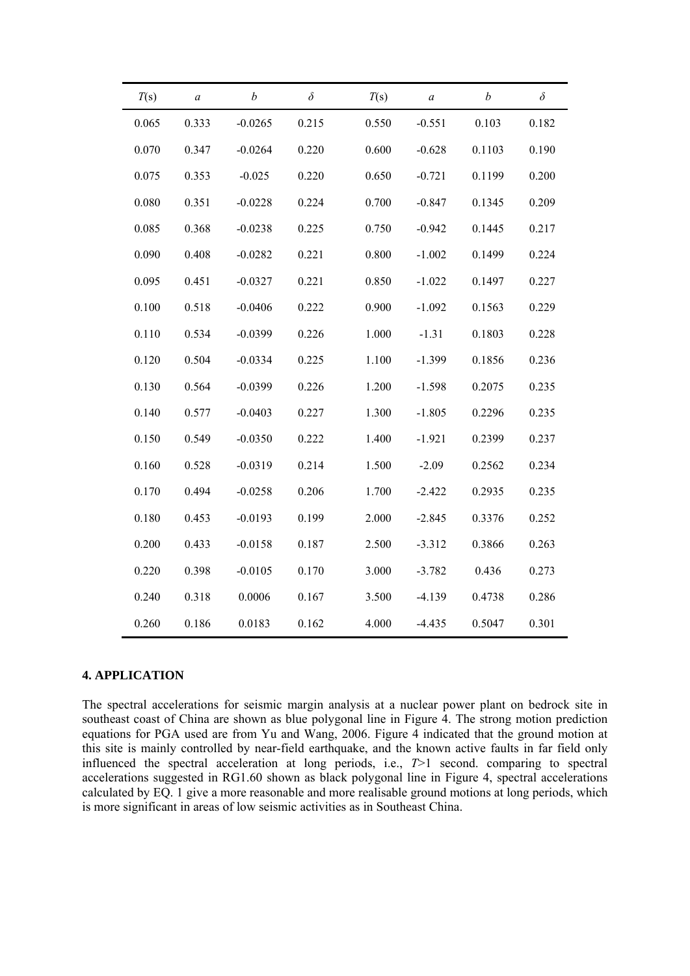| T(s)  | $\boldsymbol{a}$ | b         | $\delta$ | T(s)  | a        | b      | $\delta$ |
|-------|------------------|-----------|----------|-------|----------|--------|----------|
| 0.065 | 0.333            | $-0.0265$ | 0.215    | 0.550 | $-0.551$ | 0.103  | 0.182    |
| 0.070 | 0.347            | $-0.0264$ | 0.220    | 0.600 | $-0.628$ | 0.1103 | 0.190    |
| 0.075 | 0.353            | $-0.025$  | 0.220    | 0.650 | $-0.721$ | 0.1199 | 0.200    |
| 0.080 | 0.351            | $-0.0228$ | 0.224    | 0.700 | $-0.847$ | 0.1345 | 0.209    |
| 0.085 | 0.368            | $-0.0238$ | 0.225    | 0.750 | $-0.942$ | 0.1445 | 0.217    |
| 0.090 | 0.408            | $-0.0282$ | 0.221    | 0.800 | $-1.002$ | 0.1499 | 0.224    |
| 0.095 | 0.451            | $-0.0327$ | 0.221    | 0.850 | $-1.022$ | 0.1497 | 0.227    |
| 0.100 | 0.518            | $-0.0406$ | 0.222    | 0.900 | $-1.092$ | 0.1563 | 0.229    |
| 0.110 | 0.534            | $-0.0399$ | 0.226    | 1.000 | $-1.31$  | 0.1803 | 0.228    |
| 0.120 | 0.504            | $-0.0334$ | 0.225    | 1.100 | $-1.399$ | 0.1856 | 0.236    |
| 0.130 | 0.564            | $-0.0399$ | 0.226    | 1.200 | $-1.598$ | 0.2075 | 0.235    |
| 0.140 | 0.577            | $-0.0403$ | 0.227    | 1.300 | $-1.805$ | 0.2296 | 0.235    |
| 0.150 | 0.549            | $-0.0350$ | 0.222    | 1.400 | $-1.921$ | 0.2399 | 0.237    |
| 0.160 | 0.528            | $-0.0319$ | 0.214    | 1.500 | $-2.09$  | 0.2562 | 0.234    |
| 0.170 | 0.494            | $-0.0258$ | 0.206    | 1.700 | $-2.422$ | 0.2935 | 0.235    |
| 0.180 | 0.453            | $-0.0193$ | 0.199    | 2.000 | $-2.845$ | 0.3376 | 0.252    |
| 0.200 | 0.433            | $-0.0158$ | 0.187    | 2.500 | $-3.312$ | 0.3866 | 0.263    |
| 0.220 | 0.398            | $-0.0105$ | 0.170    | 3.000 | $-3.782$ | 0.436  | 0.273    |
| 0.240 | 0.318            | 0.0006    | 0.167    | 3.500 | $-4.139$ | 0.4738 | 0.286    |
| 0.260 | 0.186            | 0.0183    | 0.162    | 4.000 | $-4.435$ | 0.5047 | 0.301    |

#### **4. APPLICATION**

The spectral accelerations for seismic margin analysis at a nuclear power plant on bedrock site in southeast coast of China are shown as blue polygonal line in Figure 4. The strong motion prediction equations for PGA used are from Yu and Wang, 2006. Figure 4 indicated that the ground motion at this site is mainly controlled by near-field earthquake, and the known active faults in far field only influenced the spectral acceleration at long periods, i.e., *T*>1 second. comparing to spectral accelerations suggested in RG1.60 shown as black polygonal line in Figure 4, spectral accelerations calculated by EQ. 1 give a more reasonable and more realisable ground motions at long periods, which is more significant in areas of low seismic activities as in Southeast China.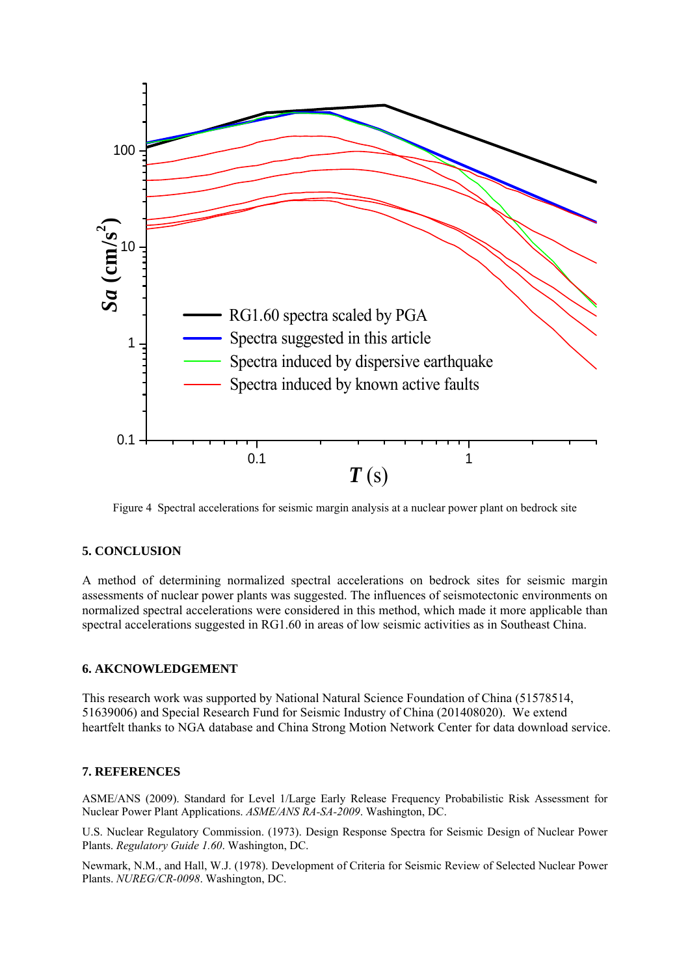

Figure 4 Spectral accelerations for seismic margin analysis at a nuclear power plant on bedrock site

# **5. CONCLUSION**

A method of determining normalized spectral accelerations on bedrock sites for seismic margin assessments of nuclear power plants was suggested. The influences of seismotectonic environments on normalized spectral accelerations were considered in this method, which made it more applicable than spectral accelerations suggested in RG1.60 in areas of low seismic activities as in Southeast China.

# **6. AKCNOWLEDGEMENT**

This research work was supported by National Natural Science Foundation of China (51578514, 51639006) and Special Research Fund for Seismic Industry of China (201408020). We extend heartfelt thanks to NGA database and China Strong Motion Network Center for data download service.

# **7. REFERENCES**

ASME/ANS (2009). Standard for Level 1/Large Early Release Frequency Probabilistic Risk Assessment for Nuclear Power Plant Applications. *ASME/ANS RA-SA-2009*. Washington, DC.

U.S. Nuclear Regulatory Commission. (1973). Design Response Spectra for Seismic Design of Nuclear Power Plants. *Regulatory Guide 1.60*. Washington, DC.

Newmark, N.M., and Hall, W.J. (1978). Development of Criteria for Seismic Review of Selected Nuclear Power Plants. *NUREG/CR-0098*. Washington, DC.